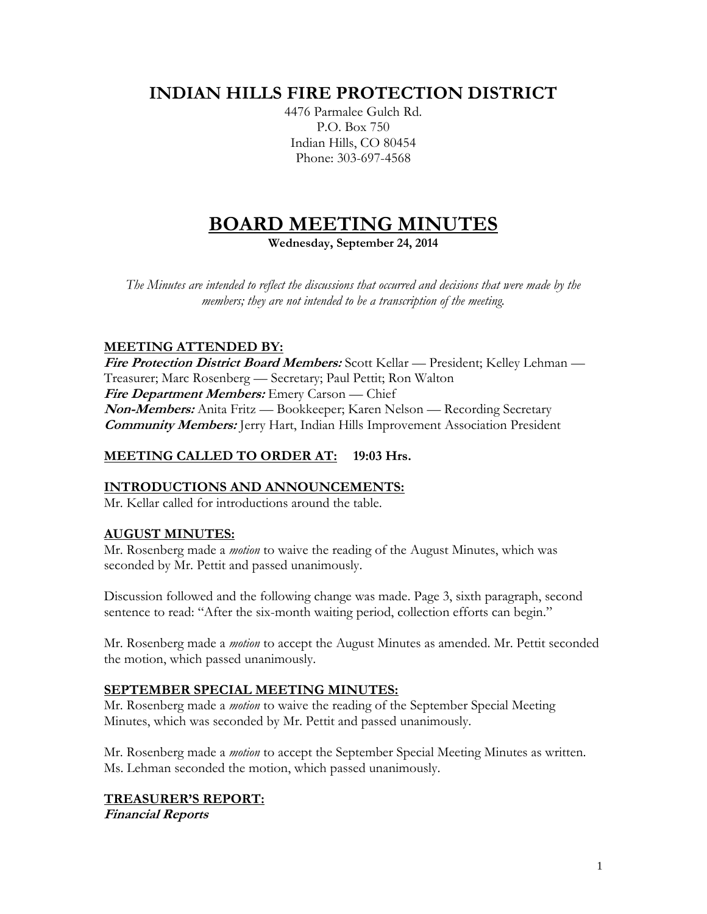## **INDIAN HILLS FIRE PROTECTION DISTRICT**

4476 Parmalee Gulch Rd. P.O. Box 750 Indian Hills, CO 80454 Phone: 303-697-4568

# **BOARD MEETING MINUTES**

**Wednesday, September 24, 2014**

*The Minutes are intended to reflect the discussions that occurred and decisions that were made by the members; they are not intended to be a transcription of the meeting.*

## **MEETING ATTENDED BY:**

**Fire Protection District Board Members:** Scott Kellar — President; Kelley Lehman — Treasurer; Marc Rosenberg — Secretary; Paul Pettit; Ron Walton **Fire Department Members:** Emery Carson — Chief **Non-Members:** Anita Fritz — Bookkeeper; Karen Nelson — Recording Secretary **Community Members:** Jerry Hart, Indian Hills Improvement Association President

## **MEETING CALLED TO ORDER AT: 19:03 Hrs.**

## **INTRODUCTIONS AND ANNOUNCEMENTS:**

Mr. Kellar called for introductions around the table.

## **AUGUST MINUTES:**

Mr. Rosenberg made a *motion* to waive the reading of the August Minutes, which was seconded by Mr. Pettit and passed unanimously.

Discussion followed and the following change was made. Page 3, sixth paragraph, second sentence to read: "After the six-month waiting period, collection efforts can begin."

Mr. Rosenberg made a *motion* to accept the August Minutes as amended. Mr. Pettit seconded the motion, which passed unanimously.

## **SEPTEMBER SPECIAL MEETING MINUTES:**

Mr. Rosenberg made a *motion* to waive the reading of the September Special Meeting Minutes, which was seconded by Mr. Pettit and passed unanimously.

Mr. Rosenberg made a *motion* to accept the September Special Meeting Minutes as written. Ms. Lehman seconded the motion, which passed unanimously.

## **TREASURER'S REPORT:**

**Financial Reports**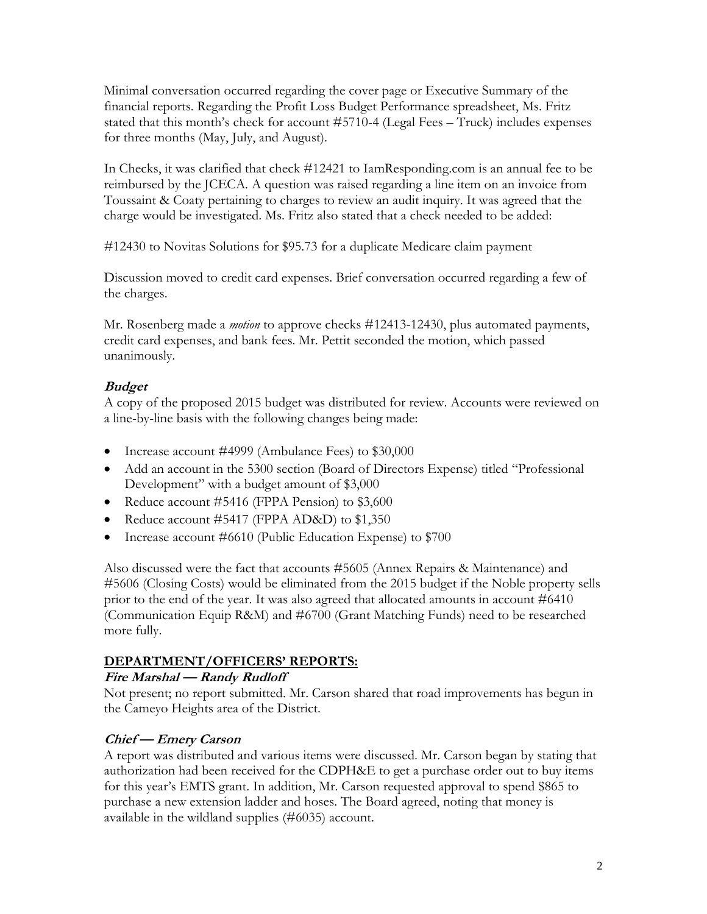Minimal conversation occurred regarding the cover page or Executive Summary of the financial reports. Regarding the Profit Loss Budget Performance spreadsheet, Ms. Fritz stated that this month's check for account #5710-4 (Legal Fees – Truck) includes expenses for three months (May, July, and August).

In Checks, it was clarified that check #12421 to IamResponding.com is an annual fee to be reimbursed by the JCECA. A question was raised regarding a line item on an invoice from Toussaint & Coaty pertaining to charges to review an audit inquiry. It was agreed that the charge would be investigated. Ms. Fritz also stated that a check needed to be added:

#12430 to Novitas Solutions for \$95.73 for a duplicate Medicare claim payment

Discussion moved to credit card expenses. Brief conversation occurred regarding a few of the charges.

Mr. Rosenberg made a *motion* to approve checks #12413-12430, plus automated payments, credit card expenses, and bank fees. Mr. Pettit seconded the motion, which passed unanimously.

## **Budget**

A copy of the proposed 2015 budget was distributed for review. Accounts were reviewed on a line-by-line basis with the following changes being made:

- Increase account #4999 (Ambulance Fees) to \$30,000
- Add an account in the 5300 section (Board of Directors Expense) titled "Professional Development" with a budget amount of \$3,000
- Reduce account #5416 (FPPA Pension) to \$3,600
- Reduce account #5417 (FPPA AD&D) to \$1,350
- Increase account #6610 (Public Education Expense) to \$700

Also discussed were the fact that accounts #5605 (Annex Repairs & Maintenance) and #5606 (Closing Costs) would be eliminated from the 2015 budget if the Noble property sells prior to the end of the year. It was also agreed that allocated amounts in account #6410 (Communication Equip R&M) and #6700 (Grant Matching Funds) need to be researched more fully.

## **DEPARTMENT/OFFICERS' REPORTS:**

## **Fire Marshal — Randy Rudloff**

Not present; no report submitted. Mr. Carson shared that road improvements has begun in the Cameyo Heights area of the District.

## **Chief — Emery Carson**

A report was distributed and various items were discussed. Mr. Carson began by stating that authorization had been received for the CDPH&E to get a purchase order out to buy items for this year's EMTS grant. In addition, Mr. Carson requested approval to spend \$865 to purchase a new extension ladder and hoses. The Board agreed, noting that money is available in the wildland supplies (#6035) account.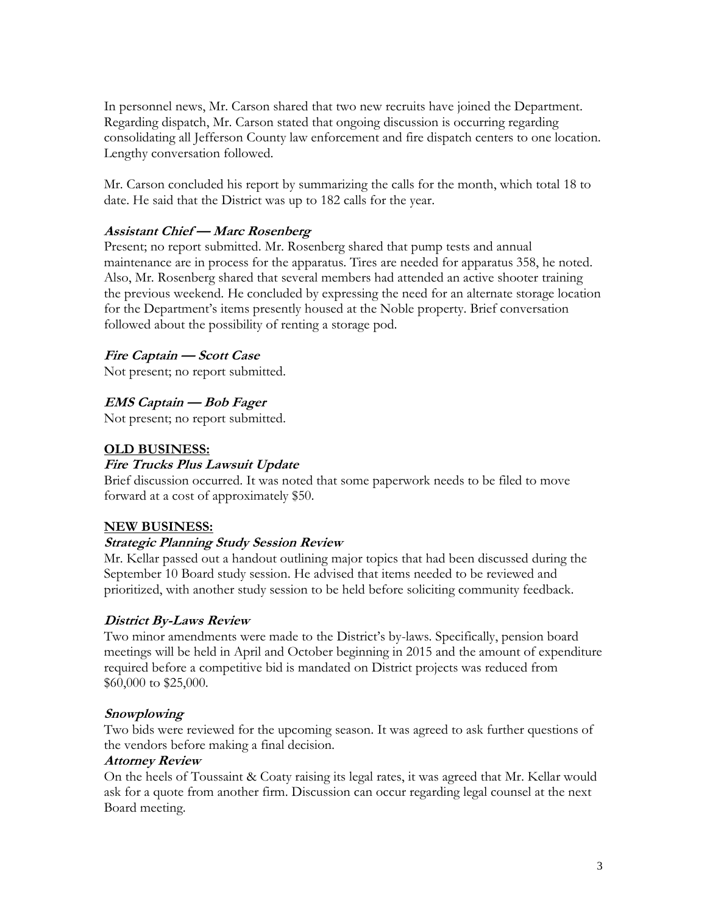In personnel news, Mr. Carson shared that two new recruits have joined the Department. Regarding dispatch, Mr. Carson stated that ongoing discussion is occurring regarding consolidating all Jefferson County law enforcement and fire dispatch centers to one location. Lengthy conversation followed.

Mr. Carson concluded his report by summarizing the calls for the month, which total 18 to date. He said that the District was up to 182 calls for the year.

#### **Assistant Chief — Marc Rosenberg**

Present; no report submitted. Mr. Rosenberg shared that pump tests and annual maintenance are in process for the apparatus. Tires are needed for apparatus 358, he noted. Also, Mr. Rosenberg shared that several members had attended an active shooter training the previous weekend. He concluded by expressing the need for an alternate storage location for the Department's items presently housed at the Noble property. Brief conversation followed about the possibility of renting a storage pod.

## **Fire Captain — Scott Case**

Not present; no report submitted.

## **EMS Captain — Bob Fager**

Not present; no report submitted.

#### **OLD BUSINESS:**

#### **Fire Trucks Plus Lawsuit Update**

Brief discussion occurred. It was noted that some paperwork needs to be filed to move forward at a cost of approximately \$50.

#### **NEW BUSINESS:**

#### **Strategic Planning Study Session Review**

Mr. Kellar passed out a handout outlining major topics that had been discussed during the September 10 Board study session. He advised that items needed to be reviewed and prioritized, with another study session to be held before soliciting community feedback.

#### **District By-Laws Review**

Two minor amendments were made to the District's by-laws. Specifically, pension board meetings will be held in April and October beginning in 2015 and the amount of expenditure required before a competitive bid is mandated on District projects was reduced from \$60,000 to \$25,000.

#### **Snowplowing**

Two bids were reviewed for the upcoming season. It was agreed to ask further questions of the vendors before making a final decision.

#### **Attorney Review**

On the heels of Toussaint & Coaty raising its legal rates, it was agreed that Mr. Kellar would ask for a quote from another firm. Discussion can occur regarding legal counsel at the next Board meeting.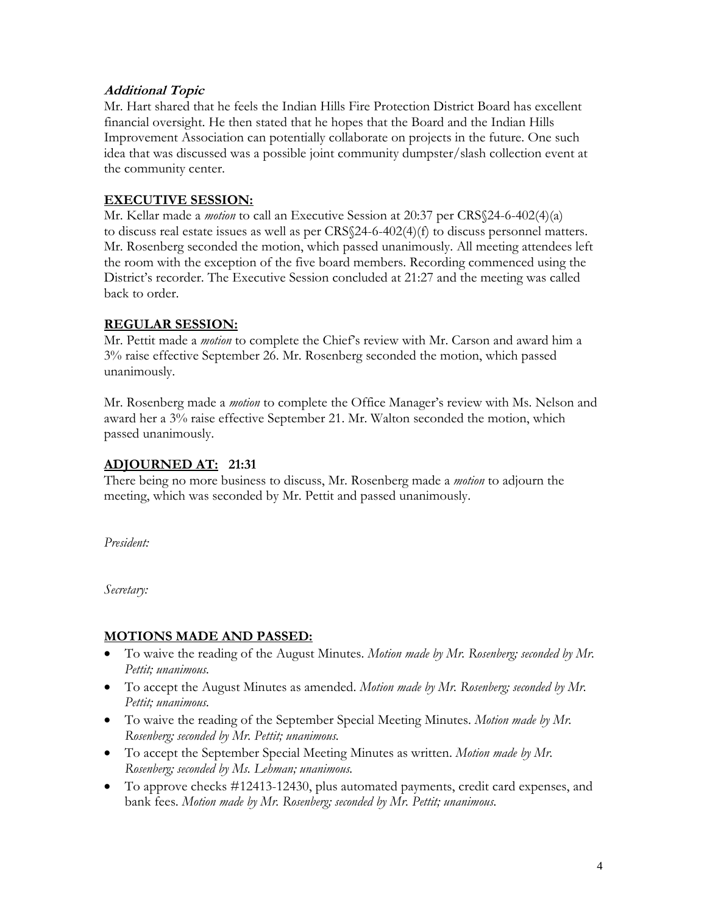#### **Additional Topic**

Mr. Hart shared that he feels the Indian Hills Fire Protection District Board has excellent financial oversight. He then stated that he hopes that the Board and the Indian Hills Improvement Association can potentially collaborate on projects in the future. One such idea that was discussed was a possible joint community dumpster/slash collection event at the community center.

#### **EXECUTIVE SESSION:**

Mr. Kellar made a *motion* to call an Executive Session at 20:37 per CRS§24-6-402(4)(a) to discuss real estate issues as well as per  $CRS\$ 24-6-402(4)(f) to discuss personnel matters. Mr. Rosenberg seconded the motion, which passed unanimously. All meeting attendees left the room with the exception of the five board members. Recording commenced using the District's recorder. The Executive Session concluded at 21:27 and the meeting was called back to order.

#### **REGULAR SESSION:**

Mr. Pettit made a *motion* to complete the Chief's review with Mr. Carson and award him a 3% raise effective September 26. Mr. Rosenberg seconded the motion, which passed unanimously.

Mr. Rosenberg made a *motion* to complete the Office Manager's review with Ms. Nelson and award her a 3% raise effective September 21. Mr. Walton seconded the motion, which passed unanimously.

#### **ADJOURNED AT: 21:31**

There being no more business to discuss, Mr. Rosenberg made a *motion* to adjourn the meeting, which was seconded by Mr. Pettit and passed unanimously.

*President:*

*Secretary:*

## **MOTIONS MADE AND PASSED:**

- To waive the reading of the August Minutes. *Motion made by Mr. Rosenberg; seconded by Mr. Pettit; unanimous.*
- To accept the August Minutes as amended. *Motion made by Mr. Rosenberg; seconded by Mr. Pettit; unanimous.*
- To waive the reading of the September Special Meeting Minutes. *Motion made by Mr. Rosenberg; seconded by Mr. Pettit; unanimous.*
- To accept the September Special Meeting Minutes as written. *Motion made by Mr. Rosenberg; seconded by Ms. Lehman; unanimous.*
- To approve checks #12413-12430, plus automated payments, credit card expenses, and bank fees. *Motion made by Mr. Rosenberg; seconded by Mr. Pettit; unanimous.*